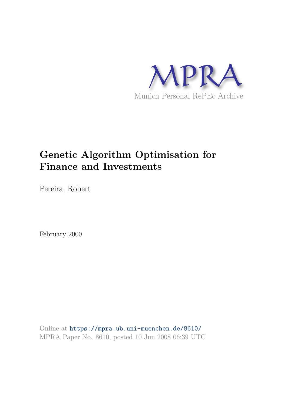

# **Genetic Algorithm Optimisation for Finance and Investments**

Pereira, Robert

February 2000

Online at https://mpra.ub.uni-muenchen.de/8610/ MPRA Paper No. 8610, posted 10 Jun 2008 06:39 UTC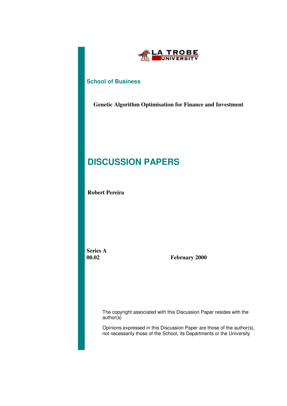

### **School of Business**

**Genetic Algorithm Optimisation for Finance and Investment**

# **DISCUSSION PAPERS**

**Robert Pereira**

 **Series A**

 **00.02 February 2000**

The copyright associated with this Discussion Paper resides with the author(s)

Opinions expressed in this Discussion Paper are those of the author(s), not necessarily those of the School, its Departments or the University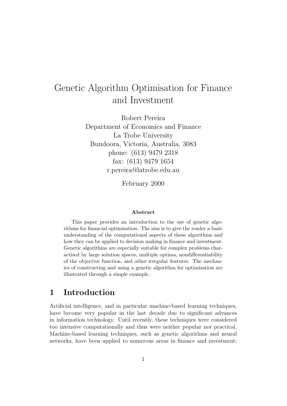# Genetic Algorithm Optimisation for Finance and Investment

Robert Pereira Department of Economics and Finance La Trobe University Bundoora, Victoria, Australia, 3083 phone: (613) 9479 2318 fax: (613) 9479 1654 r.pereira@latrobe.edu.au

February 2000

#### Abstract

This paper provides an introduction to the use of genetic algorithms for financial optimisation. The aim is to give the reader a basic understanding of the computational aspects of these algorithms and how they can be applied to decision making in finance and investment. Genetic algorithms are especially suitable for complex problems charactised by large solution spaces, multiple optima, nondifferentiability of the objective function, and other irregular features. The mechanics of constructing and using a genetic algorithm for optimisation are illustrated through a simple example.

### 1 Introduction

Artificial intelligence, and in particular machine-based learning techniques, have become very popular in the last decade due to significant advances in information technology. Until recently, these techniques were considered too intensive computationally and thus were neither popular nor practical. Machine-based learning techniques, such as genetic algorithms and neural networks, have been applied to numerous areas in finance and investment;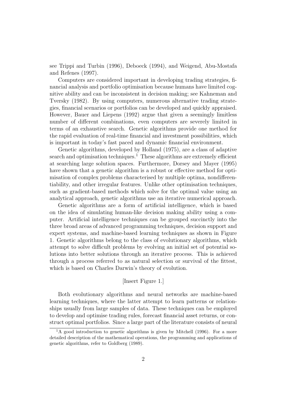see Trippi and Turbin (1996), Deboeck (1994), and Weigend, Abu-Mostafa and Refenes (1997).

Computers are considered important in developing trading strategies, financial analysis and portfolio optimisation because humans have limited cognitive ability and can be inconsistent in decision making; see Kahneman and Tversky (1982). By using computers, numerous alternative trading strategies, financial scenarios or portfolios can be developed and quickly appraised. However, Bauer and Liepens (1992) argue that given a seemingly limitless number of different combinations, even computers are severely limited in terms of an exhaustive search. Genetic algorithms provide one method for the rapid evaluation of real-time financial and investment possibilities, which is important in today's fast paced and dynamic financial environment.

Genetic algorithms, developed by Holland (1975), are a class of adaptive search and optimisation techniques.<sup>1</sup> These algorithms are extremely efficient at searching large solution spaces. Furthermore, Dorsey and Mayer (1995) have shown that a genetic algorithm is a robust or effective method for optimisation of complex problems characterised by multiple optima, nondifferentiability, and other irregular features. Unlike other optimisation techniques, such as gradient-based methods which solve for the optimal value using an analytical approach, genetic algorithms use an iterative numerical approach.

Genetic algorithms are a form of artificial intelligence, which is based on the idea of simulating human-like decision making ability using a computer. Artificial intelligence techniques can be grouped succinctly into the three broad areas of advanced programming techniques, decision support and expert systems, and machine-based learning techniques as shown in Figure 1. Genetic algorithms belong to the class of evolutionary algorithms, which attempt to solve difficult problems by evolving an initial set of potential solutions into better solutions through an iterative process. This is achieved through a process referred to as natural selection or survival of the fittest, which is based on Charles Darwin's theory of evolution.

#### [Insert Figure 1.]

Both evolutionary algorithms and neural networks are machine-based learning techniques, where the latter attempt to learn patterns or relationships usually from large samples of data. These techniques can be employed to develop and optimise trading rules, forecast financial asset returns, or construct optimal portfolios. Since a large part of the literature consists of neural

 ${}^{1}$ A good introduction to genetic algorithms is given by Mitchell (1996). For a more detailed description of the mathematical operations, the programming and applications of genetic algorithms, refer to Goldberg (1989).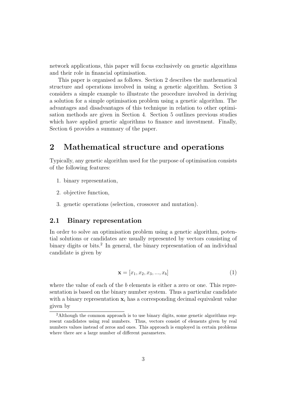network applications, this paper will focus exclusively on genetic algorithms and their role in financial optimisation.

This paper is organised as follows. Section 2 describes the mathematical structure and operations involved in using a genetic algorithm. Section 3 considers a simple example to illustrate the procedure involved in deriving a solution for a simple optimisation problem using a genetic algorithm. The advantages and disadvantages of this technique in relation to other optimisation methods are given in Section 4. Section 5 outlines previous studies which have applied genetic algorithms to finance and investment. Finally, Section 6 provides a summary of the paper.

# 2 Mathematical structure and operations

Typically, any genetic algorithm used for the purpose of optimisation consists of the following features:

- 1. binary representation,
- 2. objective function,
- 3. genetic operations (selection, crossover and mutation).

#### 2.1 Binary representation

In order to solve an optimisation problem using a genetic algorithm, potential solutions or candidates are usually represented by vectors consisting of binary digits or bits.<sup>2</sup> In general, the binary representation of an individual candidate is given by

$$
\mathbf{x} = [x_1, x_2, x_3, ..., x_b]
$$
 (1)

where the value of each of the b elements is either a zero or one. This representation is based on the binary number system. Thus a particular candidate with a binary representation  $x_i$  has a corresponding decimal equivalent value given by

<sup>2</sup>Although the common approach is to use binary digits, some genetic algorithms represent candidates using real numbers. Thus, vectors consist of elements given by real numbers values instead of zeros and ones. This approach is employed in certain problems where there are a large number of different parameters.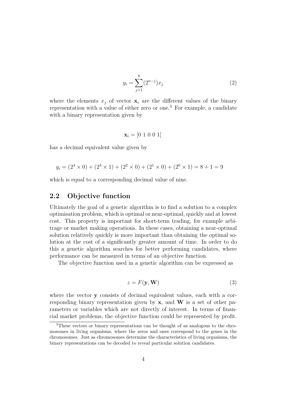$$
y_i = \sum_{j=1}^{b} (2^{n-j}) x_j
$$
 (2)

where the elements  $x_j$  of vector  $x_i$  are the different values of the binary representation with a value of either zero or one.<sup>3</sup> For example, a candidate with a binary representation given by

$$
\mathbf{x}_i = \begin{bmatrix} 0 & 1 & 0 & 0 & 1 \end{bmatrix}
$$

has a decimal equivalent value given by

$$
y_i = (2^4 \times 0) + (2^3 \times 1) + (2^2 \times 0) + (2^1 \times 0) + (2^0 \times 1) = 8 + 1 = 9
$$

which is equal to a corresponding decimal value of nine.

#### 2.2 Objective function

Ultimately the goal of a genetic algorithm is to find a solution to a complex optimisation problem, which is optimal or near-optimal, quickly and at lowest cost. This property is important for short-term trading, for example arbitrage or market making operations. In these cases, obtaining a near-optimal solution relatively quickly is more important than obtaining the optimal solution at the cost of a significantly greater amount of time. In order to do this a genetic algorithm searches for better performing candidates, where performance can be measured in terms of an objective function.

The objective function used in a genetic algorithm can be expressed as

$$
z = F(\mathbf{y}, \mathbf{W})\tag{3}
$$

where the vector **y** consists of decimal equivalent values, each with a corresponding binary representation given by  $x$ , and  $W$  is a set of other parameters or variables which are not directly of interest. In terms of financial market problems, the objective function could be represented by profit.

<sup>&</sup>lt;sup>3</sup>These vectors or binary representations can be thought of as analogous to the chromosomes in living organisms, where the zeros and ones correspond to the genes in the chromosomes. Just as chromosomes determine the characteristics of living organisms, the binary representations can be decoded to reveal particular solution candidates.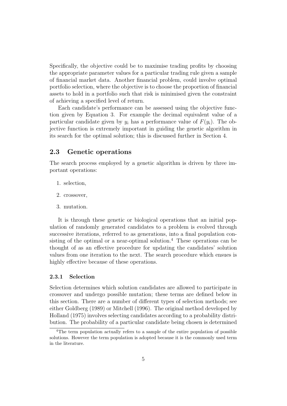Specifically, the objective could be to maximise trading profits by choosing the appropriate parameter values for a particular trading rule given a sample of financial market data. Another financial problem, could involve optimal portfolio selection, where the objective is to choose the proportion of financial assets to hold in a portfolio such that risk is minimised given the constraint of achieving a specified level of return.

Each candidate's performance can be assessed using the objective function given by Equation 3. For example the decimal equivalent value of a particular candidate given by  $y_i$  has a performance value of  $F(y_i)$ . The objective function is extremely important in guiding the genetic algorithm in its search for the optimal solution; this is discussed further in Section 4.

#### 2.3 Genetic operations

The search process employed by a genetic algorithm is driven by three important operations:

- 1. selection,
- 2. crossover,
- 3. mutation.

It is through these genetic or biological operations that an initial population of randomly generated candidates to a problem is evolved through successive iterations, referred to as generations, into a final population consisting of the optimal or a near-optimal solution.<sup>4</sup> These operations can be thought of as an effective procedure for updating the candidates' solution values from one iteration to the next. The search procedure which ensues is highly effective because of these operations.

#### 2.3.1 Selection

Selection determines which solution candidates are allowed to participate in crossover and undergo possible mutation; these terms are defined below in this section. There are a number of different types of selection methods; see either Goldberg (1989) or Mitchell (1996). The original method developed by Holland (1975) involves selecting candidates according to a probability distribution. The probability of a particular candidate being chosen is determined

<sup>4</sup>The term population actually refers to a sample of the entire population of possible solutions. However the term population is adopted because it is the commonly used term in the literature.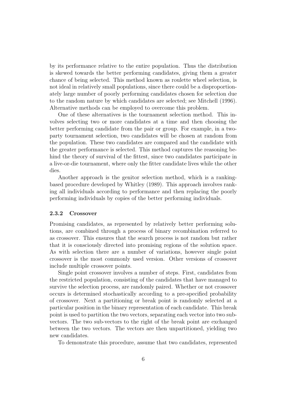by its performance relative to the entire population. Thus the distribution is skewed towards the better performing candidates, giving them a greater chance of being selected. This method known as roulette wheel selection, is not ideal in relatively small populations, since there could be a disproportionately large number of poorly performing candidates chosen for selection due to the random nature by which candidates are selected; see Mitchell (1996). Alternative methods can be employed to overcome this problem.

One of these alternatives is the tournament selection method. This involves selecting two or more candidates at a time and then choosing the better performing candidate from the pair or group. For example, in a twoparty tournament selection, two candidates will be chosen at random from the population. These two candidates are compared and the candidate with the greater performance is selected. This method captures the reasoning behind the theory of survival of the fittest, since two candidates participate in a live-or-die tournament, where only the fitter candidate lives while the other dies.

Another approach is the genitor selection method, which is a rankingbased procedure developed by Whitley (1989). This approach involves ranking all individuals according to performance and then replacing the poorly performing individuals by copies of the better performing individuals.

#### 2.3.2 Crossover

Promising candidates, as represented by relatively better performing solutions, are combined through a process of binary recombination referred to as crossover. This ensures that the search process is not random but rather that it is consciously directed into promising regions of the solution space. As with selection there are a number of variations, however single point crossover is the most commonly used version. Other versions of crossover include multiple crossover points.

Single point crossover involves a number of steps. First, candidates from the restricted population, consisting of the candidates that have managed to survive the selection process, are randomly paired. Whether or not crossover occurs is determined stochastically according to a pre-specified probability of crossover. Next a partitioning or break point is randomly selected at a particular position in the binary representation of each candidate. This break point is used to partition the two vectors, separating each vector into two subvectors. The two sub-vectors to the right of the break point are exchanged between the two vectors. The vectors are then unpartitioned, yielding two new candidates.

To demonstrate this procedure, assume that two candidates, represented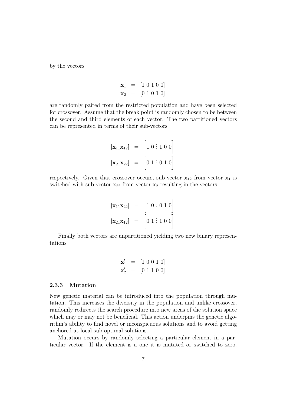by the vectors

$$
\mathbf{x}_1 = [1 \ 0 \ 1 \ 0 \ 0] \n\mathbf{x}_2 = [0 \ 1 \ 0 \ 1 \ 0]
$$

are randomly paired from the restricted population and have been selected for crossover. Assume that the break point is randomly chosen to be between the second and third elements of each vector. The two partitioned vectors can be represented in terms of their sub-vectors

$$
\begin{aligned}\n[\mathbf{x}_{11}\mathbf{x}_{12}] &= \begin{bmatrix}\n1 & 0 & \vdots & 1 & 0 & 0\n\end{bmatrix} \\
[\mathbf{x}_{21}\mathbf{x}_{22}] &= \begin{bmatrix}\n0 & 1 & \vdots & 0 & 1 & 0\n\end{bmatrix}\n\end{aligned}
$$

respectively. Given that crossover occurs, sub-vector  $x_{12}$  from vector  $x_1$  is switched with sub-vector  $\mathbf{x}_{22}$  from vector  $\mathbf{x}_2$  resulting in the vectors

$$
\begin{aligned}\n[\mathbf{x}_{11}\mathbf{x}_{22}] &= \begin{bmatrix}\n1 & 0 & \vdots & 0 & 1 & 0\n\end{bmatrix} \\
[\mathbf{x}_{21}\mathbf{x}_{12}] &= \begin{bmatrix}\n0 & 1 & \vdots & 1 & 0 & 0\n\end{bmatrix}\n\end{aligned}
$$

Finally both vectors are unpartitioned yielding two new binary representations

$$
\mathbf{x}'_1 = [1 \ 0 \ 0 \ 1 \ 0] \n\mathbf{x}'_2 = [0 \ 1 \ 1 \ 0 \ 0]
$$

#### 2.3.3 Mutation

New genetic material can be introduced into the population through mutation. This increases the diversity in the population and unlike crossover, randomly redirects the search procedure into new areas of the solution space which may or may not be beneficial. This action underpins the genetic algorithm's ability to find novel or inconspicuous solutions and to avoid getting anchored at local sub-optimal solutions.

Mutation occurs by randomly selecting a particular element in a particular vector. If the element is a one it is mutated or switched to zero.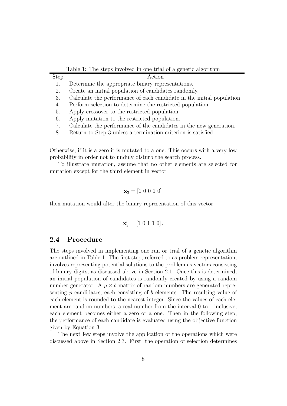Table 1: The steps involved in one trial of a genetic algorithm

| <b>Step</b> | Action                                                                 |
|-------------|------------------------------------------------------------------------|
| 1.          | Determine the appropriate binary representations.                      |
| 2.          | Create an initial population of candidates randomly.                   |
| 3.          | Calculate the performance of each candidate in the initial population. |
| 4.          | Perform selection to determine the restricted population.              |
| 5.          | Apply crossover to the restricted population.                          |
| 6.          | Apply mutation to the restricted population.                           |
| 7.          | Calculate the performance of the candidates in the new generation.     |
| 8.          | Return to Step 3 unless a termination criterion is satisfied.          |

Otherwise, if it is a zero it is mutated to a one. This occurs with a very low probability in order not to unduly disturb the search process.

To illustrate mutation, assume that no other elements are selected for mutation except for the third element in vector

$$
\mathbf{x}_3 = [1 \ 0 \ 0 \ 1 \ 0]
$$

then mutation would alter the binary representation of this vector

$$
\mathbf{x}'_3 = [1 \ 0 \ 1 \ 1 \ 0].
$$

#### 2.4 Procedure

The steps involved in implementing one run or trial of a genetic algorithm are outlined in Table 1. The first step, referred to as problem representation, involves representing potential solutions to the problem as vectors consisting of binary digits, as discussed above in Section 2.1. Once this is determined, an initial population of candidates is randomly created by using a random number generator. A  $p \times b$  matrix of random numbers are generated representing  $p$  candidates, each consisting of  $b$  elements. The resulting value of each element is rounded to the nearest integer. Since the values of each element are random numbers, a real number from the interval 0 to 1 inclusive, each element becomes either a zero or a one. Then in the following step, the performance of each candidate is evaluated using the objective function given by Equation 3.

The next few steps involve the application of the operations which were discussed above in Section 2.3. First, the operation of selection determines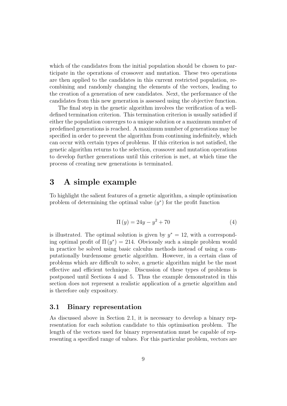which of the candidates from the initial population should be chosen to participate in the operations of crossover and mutation. These two operations are then applied to the candidates in this current restricted population, recombining and randomly changing the elements of the vectors, leading to the creation of a generation of new candidates. Next, the performance of the candidates from this new generation is assessed using the objective function.

The final step in the genetic algorithm involves the verification of a welldefined termination criterion. This termination criterion is usually satisfied if either the population converges to a unique solution or a maximum number of predefined generations is reached. A maximum number of generations may be specified in order to prevent the algorithm from continuing indefinitely, which can occur with certain types of problems. If this criterion is not satisfied, the genetic algorithm returns to the selection, crossover and mutation operations to develop further generations until this criterion is met, at which time the process of creating new generations is terminated.

### 3 A simple example

To highlight the salient features of a genetic algorithm, a simple optimisation problem of determining the optimal value  $(y^*)$  for the profit function

$$
\Pi(y) = 24y - y^2 + 70\tag{4}
$$

is illustrated. The optimal solution is given by  $y^* = 12$ , with a corresponding optimal profit of  $\Pi(y^*) = 214$ . Obviously such a simple problem would in practice be solved using basic calculus methods instead of using a computationally burdensome genetic algorithm. However, in a certain class of problems which are difficult to solve, a genetic algorithm might be the most effective and efficient technique. Discussion of these types of problems is postponed until Sections 4 and 5. Thus the example demonstrated in this section does not represent a realistic application of a genetic algorithm and is therefore only expository.

#### 3.1 Binary representation

As discussed above in Section 2.1, it is necessary to develop a binary representation for each solution candidate to this optimisation problem. The length of the vectors used for binary representation must be capable of representing a specified range of values. For this particular problem, vectors are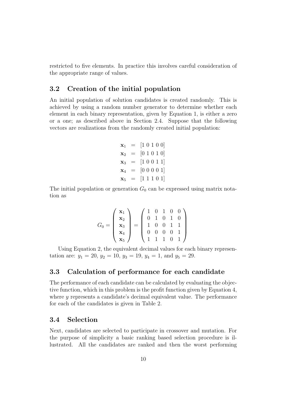restricted to five elements. In practice this involves careful consideration of the appropriate range of values.

#### 3.2 Creation of the initial population

An initial population of solution candidates is created randomly. This is achieved by using a random number generator to determine whether each element in each binary representation, given by Equation 1, is either a zero or a one; as described above in Section 2.4. Suppose that the following vectors are realizations from the randomly created initial population:

> $\mathbf{x}_1 = [1 \ 0 \ 1 \ 0 \ 0]$  $\mathbf{x}_2 = [0 \ 1 \ 0 \ 1 \ 0]$  $\mathbf{x}_3 = [1 \ 0 \ 0 \ 1 \ 1]$  $\mathbf{x}_4 = [0 \ 0 \ 0 \ 0 \ 1]$  $\mathbf{x}_5 = [1 \ 1 \ 1 \ 0 \ 1]$

The initial population or generation  $G_0$  can be expressed using matrix notation as

$$
G_0 = \left(\begin{array}{c} \mathbf{x}_1 \\ \mathbf{x}_2 \\ \mathbf{x}_3 \\ \mathbf{x}_4 \\ \mathbf{x}_5 \end{array}\right) = \left(\begin{array}{cccc} 1 & 0 & 1 & 0 & 0 \\ 0 & 1 & 0 & 1 & 0 \\ 1 & 0 & 0 & 1 & 1 \\ 0 & 0 & 0 & 0 & 1 \\ 1 & 1 & 1 & 0 & 1 \end{array}\right)
$$

Using Equation 2, the equivalent decimal values for each binary representation are:  $y_1 = 20$ ,  $y_2 = 10$ ,  $y_3 = 19$ ,  $y_4 = 1$ , and  $y_5 = 29$ .

#### 3.3 Calculation of performance for each candidate

The performance of each candidate can be calculated by evaluating the objective function, which in this problem is the profit function given by Equation 4, where y represents a candidate's decimal equivalent value. The performance for each of the candidates is given in Table 2.

#### 3.4 Selection

Next, candidates are selected to participate in crossover and mutation. For the purpose of simplicity a basic ranking based selection procedure is illustrated. All the candidates are ranked and then the worst performing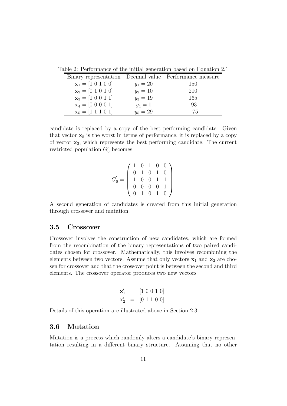|                                                                  |            | Binary representation Decimal value Performance measure |
|------------------------------------------------------------------|------------|---------------------------------------------------------|
| $\mathbf{x}_1 = \begin{bmatrix} 1 & 0 & 1 & 0 & 0 \end{bmatrix}$ | $y_1 = 20$ | 150                                                     |
| $\mathbf{x}_2 = \begin{bmatrix} 0 & 1 & 0 & 1 & 0 \end{bmatrix}$ | $y_2 = 10$ | 210                                                     |
| $\mathbf{x}_3 = \begin{bmatrix} 1 & 0 & 0 & 1 & 1 \end{bmatrix}$ | $y_3 = 19$ | 165                                                     |
| $\mathbf{x}_4 = \begin{bmatrix} 0 & 0 & 0 & 0 & 1 \end{bmatrix}$ | $y_4=1$    | 93                                                      |
| $\mathbf{x}_5 = \begin{bmatrix} 1 & 1 & 1 & 0 & 1 \end{bmatrix}$ | $y_5 = 29$ | $-75$                                                   |

Table 2: Performance of the initial generation based on Equation 2.1

candidate is replaced by a copy of the best performing candidate. Given that vector  $x_5$  is the worst in terms of performance, it is replaced by a copy of vector  $x_2$ , which represents the best performing candidate. The current restricted population  $G'_0$  becomes

G ′ <sup>0</sup> = 1 0 1 0 0 0 1 0 1 0 1 0 0 1 1 0 0 0 0 1 0 1 0 1 0 

A second generation of candidates is created from this initial generation through crossover and mutation.

#### 3.5 Crossover

Crossover involves the construction of new candidates, which are formed from the recombination of the binary representations of two paired candidates chosen for crossover. Mathematically, this involves recombining the elements between two vectors. Assume that only vectors  $x_1$  and  $x_2$  are chosen for crossover and that the crossover point is between the second and third elements. The crossover operator produces two new vectors

$$
\mathbf{x}'_1 = [1 \ 0 \ 0 \ 1 \ 0] \n\mathbf{x}'_2 = [0 \ 1 \ 1 \ 0 \ 0].
$$

Details of this operation are illustrated above in Section 2.3.

#### 3.6 Mutation

Mutation is a process which randomly alters a candidate's binary representation resulting in a different binary structure. Assuming that no other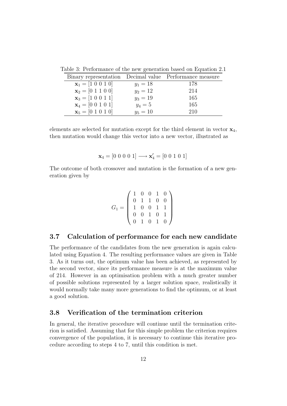| Binary representation Decimal value Performance measure          |            |     |
|------------------------------------------------------------------|------------|-----|
| $\mathbf{x}_1 = [1 \ 0 \ 0 \ 1 \ 0]$                             | $y_1 = 18$ | 178 |
| $\mathbf{x}_2 = \begin{bmatrix} 0 & 1 & 1 & 0 & 0 \end{bmatrix}$ | $y_2 = 12$ | 214 |
| $\mathbf{x}_3 = \begin{bmatrix} 1 & 0 & 0 & 1 & 1 \end{bmatrix}$ | $y_3 = 19$ | 165 |
| $\mathbf{x}_4 = \begin{bmatrix} 0 & 0 & 1 & 0 & 1 \end{bmatrix}$ | $y_4 = 5$  | 165 |
| $\mathbf{x}_5 = \begin{bmatrix} 0 & 1 & 0 & 1 & 0 \end{bmatrix}$ | $y_5 = 10$ | 210 |

Table 3: Performance of the new generation based on Equation 2.1

elements are selected for mutation except for the third element in vector  $\mathbf{x}_4$ . then mutation would change this vector into a new vector, illustrated as

$$
\mathbf{x}_4 = [0 \ 0 \ 0 \ 0 \ 1] \longrightarrow \mathbf{x}'_4 = [0 \ 0 \ 1 \ 0 \ 1]
$$

The outcome of both crossover and mutation is the formation of a new generation given by

$$
G_1 = \left(\begin{array}{cccc} 1 & 0 & 0 & 1 & 0 \\ 0 & 1 & 1 & 0 & 0 \\ 1 & 0 & 0 & 1 & 1 \\ 0 & 0 & 1 & 0 & 1 \\ 0 & 1 & 0 & 1 & 0 \end{array}\right)
$$

#### 3.7 Calculation of performance for each new candidate

The performance of the candidates from the new generation is again calculated using Equation 4. The resulting performance values are given in Table 3. As it turns out, the optimum value has been achieved, as represented by the second vector, since its performance measure is at the maximum value of 214. However in an optimisation problem with a much greater number of possible solutions represented by a larger solution space, realistically it would normally take many more generations to find the optimum, or at least a good solution.

#### 3.8 Verification of the termination criterion

In general, the iterative procedure will continue until the termination criterion is satisfied. Assuming that for this simple problem the criterion requires convergence of the population, it is necessary to continue this iterative procedure according to steps 4 to 7, until this condition is met.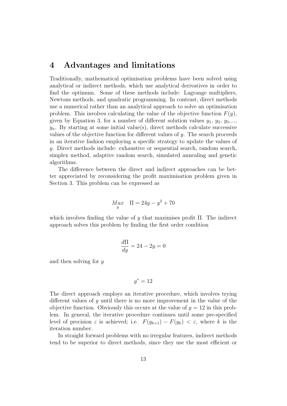## 4 Advantages and limitations

Traditionally, mathematical optimisation problems have been solved using analytical or indirect methods, which use analytical derivatives in order to find the optimum. Some of these methods include: Lagrange multipliers, Newtons methods, and quadratic programming. In contrast, direct methods use a numerical rather than an analytical approach to solve an optimisation problem. This involves calculating the value of the objective function  $F(y)$ , given by Equation 3, for a number of different solution values  $y_1, y_2, y_3,...,$  $y_n$ . By starting at some initial value(s), direct methods calculate successive values of the objective function for different values of  $y$ . The search proceeds in an iterative fashion employing a specific strategy to update the values of y. Direct methods include: exhaustive or sequential search, random search, simplex method, adaptive random search, simulated annealing and genetic algorithms.

The difference between the direct and indirect approaches can be better appreciated by reconsidering the profit maximisation problem given in Section 3. This problem can be expressed as

$$
M_{\stackrel{\circ}{y}}x \quad \Pi = 24y - y^2 + 70
$$

which involves finding the value of y that maximises profit  $\Pi$ . The indirect approach solves this problem by finding the first order condition

$$
\frac{d\Pi}{dy} = 24 - 2y = 0
$$

and then solving for y

$$
y^* = 12
$$

The direct approach employs an iterative procedure, which involves trying different values of y until there is no more improvement in the value of the objective function. Obviously this occurs at the value of  $y = 12$  in this problem. In general, the iterative procedure continues until some pre-specified level of precision  $\varepsilon$  is achieved; i.e.  $F(y_{k+1}) - F(y_k) < \varepsilon$ , where k is the iteration number.

In straight forward problems with no irregular features, indirect methods tend to be superior to direct methods, since they use the most efficient or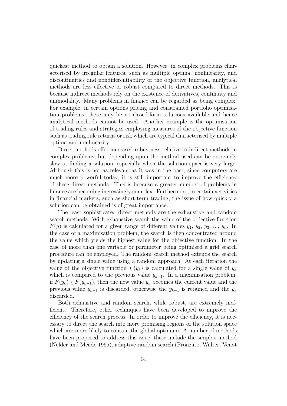quickest method to obtain a solution. However, in complex problems characterised by irregular features, such as multiple optima, nonlinearity, and discontinuities and nondifferentiability of the objective function, analytical methods are less effective or robust compared to direct methods. This is because indirect methods rely on the existence of derivatives, continuity and unimodality. Many problems in finance can be regarded as being complex. For example, in certain options pricing and constrained portfolio optimisation problems, there may be no closed-form solutions available and hence analytical methods cannot be used. Another example is the optimisation of trading rules and strategies employing measures of the objective function such as trading rule returns or risk which are typical characterised by multiple optima and nonlinearity.

Direct methods offer increased robustness relative to indirect methods in complex problems, but depending upon the method used can be extremely slow at finding a solution, especially when the solution space is very large. Although this is not as relevant as it was in the past, since computers are much more powerful today, it is still important to improve the efficiency of these direct methods. This is because a greater number of problems in finance are becoming increasingly complex. Furthermore, in certain activities in financial markets, such as short-term trading, the issue of how quickly a solution can be obtained is of great importance.

The least sophisticated direct methods are the exhaustive and random search methods. With exhaustive search the value of the objective function  $F(y)$  is calculated for a given range of different values  $y_1, y_2, y_3, ..., y_n$ . In the case of a maximisation problem, the search is then concentrated around the value which yields the highest value for the objective function. In the case of more than one variable or parameter being optimised a grid search procedure can be employed. The random search method extends the search by updating a single value using a random approach. At each iteration the value of the objective function  $F(y_k)$  is calculated for a single value of  $y_k$ which is compared to the previous value  $y_{k-1}$ . In a maximisation problem, if  $F(y_k)$  *i*,  $F(y_{k-1})$ , then the new value  $y_k$  becomes the current value and the previous value  $y_{k-1}$  is discarded, otherwise the  $y_{k-1}$  is retained and the  $y_k$ discarded.

Both exhaustive and random search, while robust, are extremely inefficient. Therefore, other techniques have been developed to improve the efficiency of the search process. In order to improve the efficiency, it is necessary to direct the search into more promising regions of the solution space which are more likely to contain the global optimum. A number of methods have been proposed to address this issue, these include the simplex method (Nelder and Meade 1965), adaptive random search (Pronzato, Walter, Venot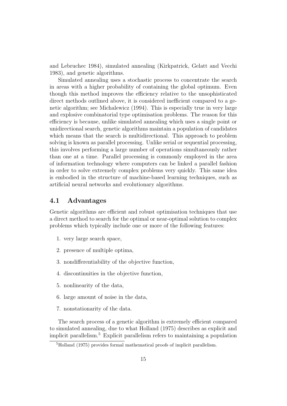and Lebruchec 1984), simulated annealing (Kirkpatrick, Gelatt and Vecchi 1983), and genetic algorithms.

Simulated annealing uses a stochastic process to concentrate the search in areas with a higher probability of containing the global optimum. Even though this method improves the efficiency relative to the unsophisticated direct methods outlined above, it is considered inefficient compared to a genetic algorithm; see Michalewicz (1994). This is especially true in very large and explosive combinatorial type optimisation problems. The reason for this efficiency is because, unlike simulated annealing which uses a single point or unidirectional search, genetic algorithms maintain a population of candidates which means that the search is multidirectional. This approach to problem solving is known as parallel processing. Unlike serial or sequential processing, this involves performing a large number of operations simultaneously rather than one at a time. Parallel processing is commonly employed in the area of information technology where computers can be linked a parallel fashion in order to solve extremely complex problems very quickly. This same idea is embodied in the structure of machine-based learning techniques, such as artificial neural networks and evolutionary algorithms.

#### 4.1 Advantages

Genetic algorithms are efficient and robust optimisation techniques that use a direct method to search for the optimal or near-optimal solution to complex problems which typically include one or more of the following features:

- 1. very large search space,
- 2. presence of multiple optima,
- 3. nondifferentiability of the objective function,
- 4. discontinuities in the objective function,
- 5. nonlinearity of the data,
- 6. large amount of noise in the data,
- 7. nonstationarity of the data.

The search process of a genetic algorithm is extremely efficient compared to simulated annealing, due to what Holland (1975) describes as explicit and implicit parallelism.<sup>5</sup> Explicit parallelism refers to maintaining a population

<sup>5</sup>Holland (1975) provides formal mathematical proofs of implicit parallelism.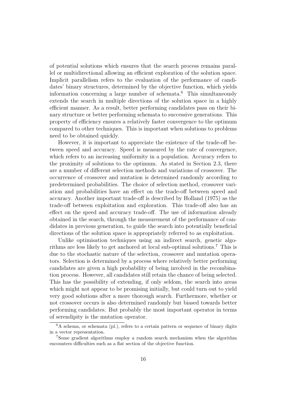of potential solutions which ensures that the search process remains parallel or multidirectional allowing an efficient exploration of the solution space. Implicit parallelism refers to the evaluation of the performance of candidates' binary structures, determined by the objective function, which yields information concerning a large number of schemata.<sup>6</sup> This simultaneously extends the search in multiple directions of the solution space in a highly efficient manner. As a result, better performing candidates pass on their binary structure or better performing schemata to successive generations. This property of efficiency ensures a relatively faster convergence to the optimum compared to other techniques. This is important when solutions to problems need to be obtained quickly.

However, it is important to appreciate the existence of the trade-off between speed and accuracy. Speed is measured by the rate of convergence, which refers to an increasing uniformity in a population. Accuracy refers to the proximity of solutions to the optimum. As stated in Section 2.3, there are a number of different selection methods and variations of crossover. The occurrence of crossover and mutation is determined randomly according to predetermined probabilities. The choice of selection method, crossover variation and probabilities have an effect on the trade-off between speed and accuracy. Another important trade-off is described by Holland (1975) as the trade-off between exploitation and exploration. This trade-off also has an effect on the speed and accuracy trade-off. The use of information already obtained in the search, through the measurement of the performance of candidates in previous generation, to guide the search into potentially beneficial directions of the solution space is appropriately referred to as exploitation.

Unlike optimisation techniques using an indirect search, genetic algorithms are less likely to get anchored at local sub-optimal solutions.<sup>7</sup> This is due to the stochastic nature of the selection, crossover and mutation operators. Selection is determined by a process where relatively better performing candidates are given a high probability of being involved in the recombination process. However, all candidates still retain the chance of being selected. This has the possibility of extending, if only seldom, the search into areas which might not appear to be promising initially, but could turn out to yield very good solutions after a more thorough search. Furthermore, whether or not crossover occurs is also determined randomly but biased towards better performing candidates. But probably the most important operator in terms of serendipity is the mutation operator.

 ${}^{6}$ A schema, or schemata (pl.), refers to a certain pattern or sequence of binary digits in a vector representation.

<sup>7</sup>Some gradient algorithms employ a random search mechanism when the algorithm encounters difficulties such as a flat section of the objective function.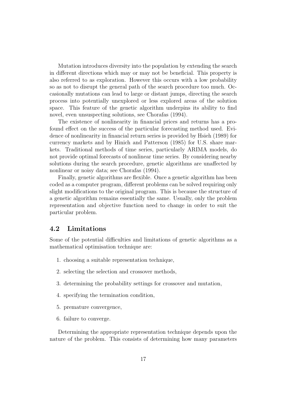Mutation introduces diversity into the population by extending the search in different directions which may or may not be beneficial. This property is also referred to as exploration. However this occurs with a low probability so as not to disrupt the general path of the search procedure too much. Occasionally mutations can lead to large or distant jumps, directing the search process into potentially unexplored or less explored areas of the solution space. This feature of the genetic algorithm underpins its ability to find novel, even unsuspecting solutions, see Chorafas (1994).

The existence of nonlinearity in financial prices and returns has a profound effect on the success of the particular forecasting method used. Evidence of nonlinearity in financial return series is provided by Hsieh (1989) for currency markets and by Hinich and Patterson (1985) for U.S. share markets. Traditional methods of time series, particularly ARIMA models, do not provide optimal forecasts of nonlinear time series. By considering nearby solutions during the search procedure, genetic algorithms are unaffected by nonlinear or noisy data; see Chorafas (1994).

Finally, genetic algorithms are flexible. Once a genetic algorithm has been coded as a computer program, different problems can be solved requiring only slight modifications to the original program. This is because the structure of a genetic algorithm remains essentially the same. Usually, only the problem representation and objective function need to change in order to suit the particular problem.

#### 4.2 Limitations

Some of the potential difficulties and limitations of genetic algorithms as a mathematical optimisation technique are:

- 1. choosing a suitable representation technique,
- 2. selecting the selection and crossover methods,
- 3. determining the probability settings for crossover and mutation,
- 4. specifying the termination condition,
- 5. premature convergence,
- 6. failure to converge.

Determining the appropriate representation technique depends upon the nature of the problem. This consists of determining how many parameters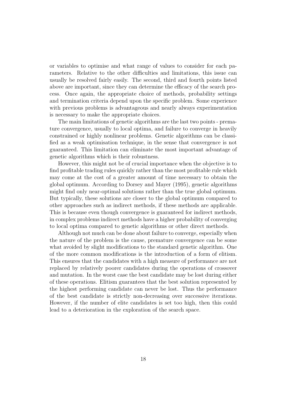or variables to optimise and what range of values to consider for each parameters. Relative to the other difficulties and limitations, this issue can usually be resolved fairly easily. The second, third and fourth points listed above are important, since they can determine the efficacy of the search process. Once again, the appropriate choice of methods, probability settings and termination criteria depend upon the specific problem. Some experience with previous problems is advantageous and nearly always experimentation is necessary to make the appropriate choices.

The main limitations of genetic algorithms are the last two points - premature convergence, usually to local optima, and failure to converge in heavily constrained or highly nonlinear problems. Genetic algorithms can be classified as a weak optimisation technique, in the sense that convergence is not guaranteed. This limitation can eliminate the most important advantage of genetic algorithms which is their robustness.

However, this might not be of crucial importance when the objective is to find profitable trading rules quickly rather than the most profitable rule which may come at the cost of a greater amount of time necessary to obtain the global optimum. According to Dorsey and Mayer (1995), genetic algorithms might find only near-optimal solutions rather than the true global optimum. But typically, these solutions are closer to the global optimum compared to other approaches such as indirect methods, if these methods are applicable. This is because even though convergence is guaranteed for indirect methods, in complex problems indirect methods have a higher probability of converging to local optima compared to genetic algorithms or other direct methods.

Although not much can be done about failure to converge, especially when the nature of the problem is the cause, premature convergence can be some what avoided by slight modifications to the standard genetic algorithm. One of the more common modifications is the introduction of a form of elitism. This ensures that the candidates with a high measure of performance are not replaced by relatively poorer candidates during the operations of crossover and mutation. In the worst case the best candidate may be lost during either of these operations. Elitism guarantees that the best solution represented by the highest performing candidate can never be lost. Thus the performance of the best candidate is strictly non-decreasing over successive iterations. However, if the number of elite candidates is set too high, then this could lead to a deterioration in the exploration of the search space.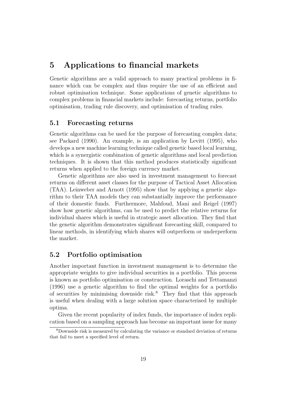## 5 Applications to financial markets

Genetic algorithms are a valid approach to many practical problems in finance which can be complex and thus require the use of an efficient and robust optimisation technique. Some applications of genetic algorithms to complex problems in financial markets include: forecasting returns, portfolio optimisation, trading rule discovery, and optimisation of trading rules.

#### 5.1 Forecasting returns

Genetic algorithms can be used for the purpose of forecasting complex data; see Packard (1990). An example, is an application by Levitt (1995), who develops a new machine learning technique called genetic based local learning, which is a synergistic combination of genetic algorithms and local prediction techniques. It is shown that this method produces statistically significant returns when applied to the foreign currency market.

Genetic algorithms are also used in investment management to forecast returns on different asset classes for the purpose of Tactical Asset Allocation (TAA). Leinweber and Arnott (1995) show that by applying a genetic algorithm to their TAA models they can substantially improve the performance of their domestic funds. Furthermore, Mahfoud, Mani and Reigel (1997) show how genetic algorithms, can be used to predict the relative returns for individual shares which is useful in strategic asset allocation. They find that the genetic algorithm demonstrates significant forecasting skill, compared to linear methods, in identifying which shares will outperform or underperform the market.

#### 5.2 Portfolio optimisation

Another important function in investment management is to determine the appropriate weights to give individual securities in a portfolio. This process is known as portfolio optimisation or construction. Loraschi and Tettamanzi (1996) use a genetic algorithm to find the optimal weights for a portfolio of securities by minimising downside risk.<sup>8</sup> They find that this approach is useful when dealing with a large solution space characterised by multiple optima.

Given the recent popularity of index funds, the importance of index replication based on a sampling approach has become an important issue for many

<sup>8</sup>Downside risk is measured by calculating the variance or standard deviation of returns that fail to meet a specified level of return.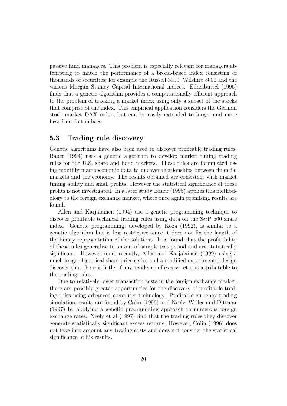passive fund managers. This problem is especially relevant for managers attempting to match the performance of a broad-based index consisting of thousands of securities; for example the Russell 3000, Wilshire 5000 and the various Morgan Stanley Capital International indices. Eddelbüttel (1996) finds that a genetic algorithm provides a computationally efficient approach to the problem of tracking a market index using only a subset of the stocks that comprise of the index. This empirical application considers the German stock market DAX index, but can be easily extended to larger and more broad market indices.

#### 5.3 Trading rule discovery

Genetic algorithms have also been used to discover profitable trading rules. Bauer (1994) uses a genetic algorithm to develop market timing trading rules for the U.S. share and bond markets. These rules are formulated using monthly macroeconomic data to uncover relationships between financial markets and the economy. The results obtained are consistent with market timing ability and small profits. However the statistical significance of these profits is not investigated. In a later study Bauer (1995) applies this methodology to the foreign exchange market, where once again promising results are found.

Allen and Karjalainen (1994) use a genetic programming technique to discover profitable technical trading rules using data on the S&P 500 share index. Genetic programming, developed by Koza (1992), is similar to a genetic algorithm but is less restrictive since it does not fix the length of the binary representation of the solutions. It is found that the profitability of these rules generalise to an out-of-sample test period and are statistically significant. However more recently, Allen and Karjalainen (1999) using a much longer historical share price series and a modified experimental design discover that there is little, if any, evidence of excess returns attributable to the trading rules.

Due to relatively lower transaction costs in the foreign exchange market, there are possibly greater opportunities for the discovery of profitable trading rules using advanced computer technology. Profitable currency trading simulation results are found by Colin (1996) and Neely, Weller and Dittmar (1997) by applying a genetic programming approach to numerous foreign exchange rates. Neely et al (1997) find that the trading rules they discover generate statistically significant excess returns. However, Colin (1996) does not take into account any trading costs and does not consider the statistical significance of his results.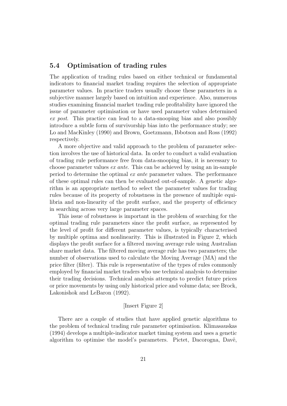#### 5.4 Optimisation of trading rules

The application of trading rules based on either technical or fundamental indicators to financial market trading requires the selection of appropriate parameter values. In practice traders usually choose these parameters in a subjective manner largely based on intuition and experience. Also, numerous studies examining financial market trading rule profitability have ignored the issue of parameter optimisation or have used parameter values determined ex post. This practice can lead to a data-snooping bias and also possibly introduce a subtle form of survivorship bias into the performance study; see Lo and MacKinley (1990) and Brown, Goetzmann, Ibbotson and Ross (1992) respectively.

A more objective and valid approach to the problem of parameter selection involves the use of historical data. In order to conduct a valid evaluation of trading rule performance free from data-snooping bias, it is necessary to choose parameter values ex ante. This can be achieved by using an in-sample period to determine the optimal ex ante parameter values. The performance of these optimal rules can then be evaluated out-of-sample. A genetic algorithm is an appropriate method to select the parameter values for trading rules because of its property of robustness in the presence of multiple equilibria and non-linearity of the profit surface, and the property of efficiency in searching across very large parameter spaces.

This issue of robustness is important in the problem of searching for the optimal trading rule parameters since the profit surface, as represented by the level of profit for different parameter values, is typically characterised by multiple optima and nonlinearity. This is illustrated in Figure 2, which displays the profit surface for a filtered moving average rule using Australian share market data. The filtered moving average rule has two parameters; the number of observations used to calculate the Moving Average (MA) and the price filter (filter). This rule is representative of the types of rules commonly employed by financial market traders who use technical analysis to determine their trading decisions. Technical analysis attempts to predict future prices or price movements by using only historical price and volume data; see Brock, Lakonishok and LeBaron (1992).

#### [Insert Figure 2]

There are a couple of studies that have applied genetic algorithms to the problem of technical trading rule parameter optimisation. Klimasauskas (1994) develops a multiple-indicator market timing system and uses a genetic algorithm to optimise the model's parameters. Pictet, Dacorogna, Davë,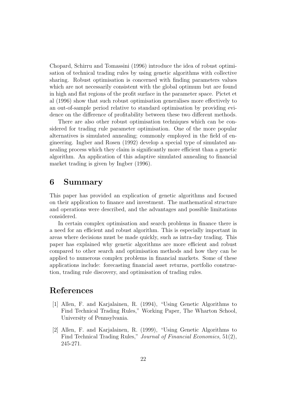Chopard, Schirru and Tomassini (1996) introduce the idea of robust optimisation of technical trading rules by using genetic algorithms with collective sharing. Robust optimisation is concerned with finding parameters values which are not necessarily consistent with the global optimum but are found in high and flat regions of the profit surface in the parameter space. Pictet et al (1996) show that such robust optimisation generalises more effectively to an out-of-sample period relative to standard optimisation by providing evidence on the difference of profitability between these two different methods.

There are also other robust optimisation techniques which can be considered for trading rule parameter optimisation. One of the more popular alternatives is simulated annealing; commonly employed in the field of engineering. Ingber and Rosen (1992) develop a special type of simulated annealing process which they claim is significantly more efficient than a genetic algorithm. An application of this adaptive simulated annealing to financial market trading is given by Ingber (1996).

## 6 Summary

This paper has provided an explication of genetic algorithms and focused on their application to finance and investment. The mathematical structure and operations were described, and the advantages and possible limitations considered.

In certain complex optimisation and search problems in finance there is a need for an efficient and robust algorithm. This is especially important in areas where decisions must be made quickly, such as intra-day trading. This paper has explained why genetic algorithms are more efficient and robust compared to other search and optimisation methods and how they can be applied to numerous complex problems in financial markets. Some of these applications include: forecasting financial asset returns, portfolio construction, trading rule discovery, and optimisation of trading rules.

## References

- [1] Allen, F. and Karjalainen, R. (1994), "Using Genetic Algorithms to Find Technical Trading Rules," Working Paper, The Wharton School, University of Pennsylvania.
- [2] Allen, F. and Karjalainen, R. (1999), "Using Genetic Algorithms to Find Technical Trading Rules," Journal of Financial Economics, 51(2), 245-271.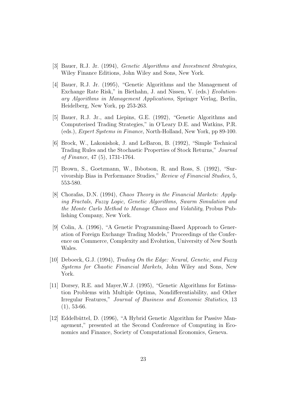- [3] Bauer, R.J. Jr. (1994), Genetic Algorithms and Investment Strategies, Wiley Finance Editions, John Wiley and Sons, New York.
- [4] Bauer, R.J. Jr. (1995), "Genetic Algorithms and the Management of Exchange Rate Risk," in Biethahn, J. and Nissen, V. (eds.) Evolutionary Algorithms in Management Applications, Springer Verlag, Berlin, Heidelberg, New York, pp 253-263.
- [5] Bauer, R.J. Jr., and Liepins, G.E. (1992), "Genetic Algorithms and Computerised Trading Strategies," in O'Leary D.E. and Watkins, P.R. (eds.), Expert Systems in Finance, North-Holland, New York, pp 89-100.
- [6] Brock, W., Lakonishok, J. and LeBaron, B. (1992), "Simple Technical Trading Rules and the Stochastic Properties of Stock Returns," Journal of Finance, 47 (5), 1731-1764.
- [7] Brown, S., Goetzmann, W., Ibbotson, R. and Ross, S. (1992), "Survivorship Bias in Performance Studies," Review of Financial Studies, 5, 553-580.
- [8] Chorafas, D.N. (1994), Chaos Theory in the Financial Markets: Applying Fractals, Fuzzy Logic, Genetic Algorithms, Swarm Simulation and the Monte Carlo Method to Manage Chaos and Volatility, Probus Publishing Company, New York.
- [9] Colin, A. (1996), "A Genetic Programming-Based Approach to Generation of Foreign Exchange Trading Models," Proceedings of the Conference on Commerce, Complexity and Evolution, University of New South Wales.
- [10] Deboeck, G.J. (1994), Trading On the Edge: Neural, Genetic, and Fuzzy Systems for Chaotic Financial Markets, John Wiley and Sons, New York.
- [11] Dorsey, R.E. and Mayer,W.J. (1995), "Genetic Algorithms for Estimation Problems with Multiple Optima, Nondifferentiability, and Other Irregular Features," Journal of Business and Economic Statistics, 13  $(1), 53-66.$
- [12] Eddelbüttel, D. (1996), "A Hybrid Genetic Algorithm for Passive Management," presented at the Second Conference of Computing in Economics and Finance, Society of Computational Economics, Geneva.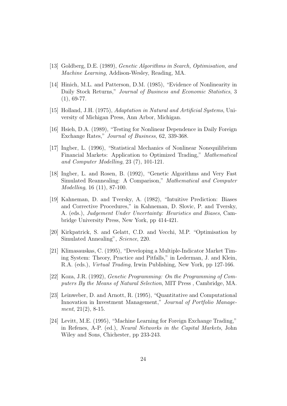- [13] Goldberg, D.E. (1989), Genetic Algorithms in Search, Optimisation, and Machine Learning, Addison-Wesley, Reading, MA.
- [14] Hinich, M.L. and Patterson, D.M. (1985), "Evidence of Nonlinearity in Daily Stock Returns," Journal of Business and Economic Statistics, 3  $(1), 69-77.$
- [15] Holland, J.H. (1975), Adaptation in Natural and Artificial Systems, University of Michigan Press, Ann Arbor, Michigan.
- [16] Hsieh, D.A. (1989), "Testing for Nonlinear Dependence in Daily Foreign Exchange Rates," Journal of Business, 62, 339-368.
- [17] Ingber, L. (1996), "Statistical Mechanics of Nonlinear Nonequilibrium Financial Markets: Application to Optimized Trading," Mathematical and Computer Modelling, 23 (7), 101-121.
- [18] Ingber, L. and Rosen, B. (1992), "Genetic Algorithms and Very Fast Simulated Reannealing: A Comparison," Mathematical and Computer Modelling, 16 (11), 87-100.
- [19] Kahneman, D. and Tversky, A. (1982), "Intuitive Prediction: Biases and Corrective Procedures," in Kahneman, D. Slovic, P. and Tversky, A. (eds.), Judgement Under Uncertainty: Heuristics and Biases, Cambridge University Press, New York, pp 414-421.
- [20] Kirkpatrick, S. and Gelatt, C.D. and Vecchi, M.P. "Optimisation by Simulated Annealing", Science, 220.
- [21] Klimasauskas, C. (1995), "Developing a Multiple-Indicator Market Timing System: Theory, Practice and Pitfalls," in Lederman, J. and Klein, R.A. (eds.), Virtual Trading, Irwin Publishing, New York, pp 127-166.
- [22] Koza, J.R. (1992), Genetic Programming: On the Programming of Computers By the Means of Natural Selection, MIT Press , Cambridge, MA.
- [23] Leinweber, D. and Arnott, R. (1995), "Quantitative and Computational Innovation in Investment Management," Journal of Portfolio Management, 21(2), 8-15.
- [24] Levitt, M.E. (1995), "Machine Learning for Foreign Exchange Trading," in Refenes, A-P. (ed.), Neural Networks in the Capital Markets, John Wiley and Sons, Chichester, pp 233-243.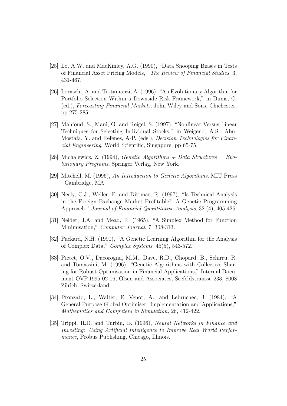- [25] Lo, A.W. and MacKinley, A.G. (1990), "Data Snooping Biases in Tests of Financial Asset Pricing Models," The Review of Financial Studies, 3, 431-467.
- [26] Loraschi, A. and Tettamanzi, A. (1996), "An Evolutionary Algorithm for Portfolio Selection Within a Downside Risk Framework," in Dunis, C. (ed.), Forecasting Financial Markets, John Wiley and Sons, Chichester, pp 275-285.
- [27] Mahfoud, S., Mani, G. and Reigel, S. (1997), "Nonlinear Versus Linear Techniques for Selecting Individual Stocks," in Weigend, A.S., Abu-Mostafa, Y. and Refenes, A-P. (eds.), Decision Technologies for Financial Engineering, World Scientific, Singapore, pp 65-75.
- [28] Michalewicz, Z. (1994), *Genetic Algorithms + Data Structures = Evo*lutionary Programs, Springer Verlag, New York.
- [29] Mitchell, M. (1996), An Introduction to Genetic Algorithms, MIT Press , Cambridge, MA.
- [30] Neely, C.J., Weller, P. and Dittmar, R. (1997), "Is Technical Analysis in the Foreign Exchange Market Profitable? A Genetic Programming Approach," Journal of Financial Quantitative Analysis, 32 (4), 405-426.
- [31] Nelder, J.A. and Mead, R. (1965), "A Simplex Method for Function Minimisation," *Computer Journal*, 7, 308-313.
- [32] Packard, N.H. (1990), "A Genetic Learning Algorithm for the Analysis of Complex Data," Complex Systems, 45(5), 543-572.
- [33] Pictet, O.V., Dacorogna, M.M., Davë, R.D., Chopard, B., Schirru, R. and Tomassini, M. (1996), "Genetic Algorithms with Collective Sharing for Robust Optimisation in Financial Applications," Internal Document OVP.1995-02-06, Olsen and Associates, Seefeldstrausse 233, 8008 Zürich, Switzerland.
- [34] Pronzato, L., Walter, E. Venot, A., and Lebruchec, J. (1984), "A General Purpose Global Optimiser: Implementation and Applications," Mathematics and Computers in Simulation, 26, 412-422.
- [35] Trippi, R.R. and Turbin, E. (1996), Neural Networks in Finance and Investing: Using Artificial Intelligence to Improve Real World Performance, Probus Publishing, Chicago, Illinois.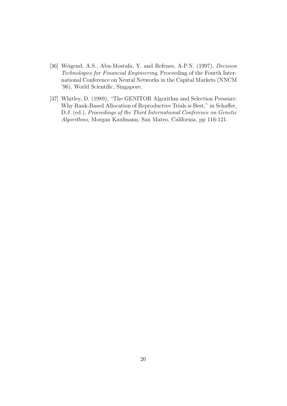- [36] Weigend, A.S., Abu-Mostafa, Y. and Refenes, A-P.N. (1997), Decision Technologies for Financial Engineering, Proceeding of the Fourth International Conference on Neural Networks in the Capital Markets (NNCM '96), World Scientific, Singapore.
- [37] Whitley, D. (1989), "The GENITOR Algorithm and Selection Pressure: Why Rank-Based Allocation of Reproductive Trials is Best," in Schaffer, D.J. (ed.), Proceedings of the Third International Conference on Genetic Algorithms, Morgan Kaufmann, San Mateo, California, pp 116-121.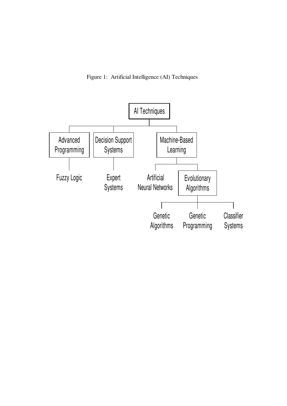Figure 1: Artificial Intelligence (AI) Techniques